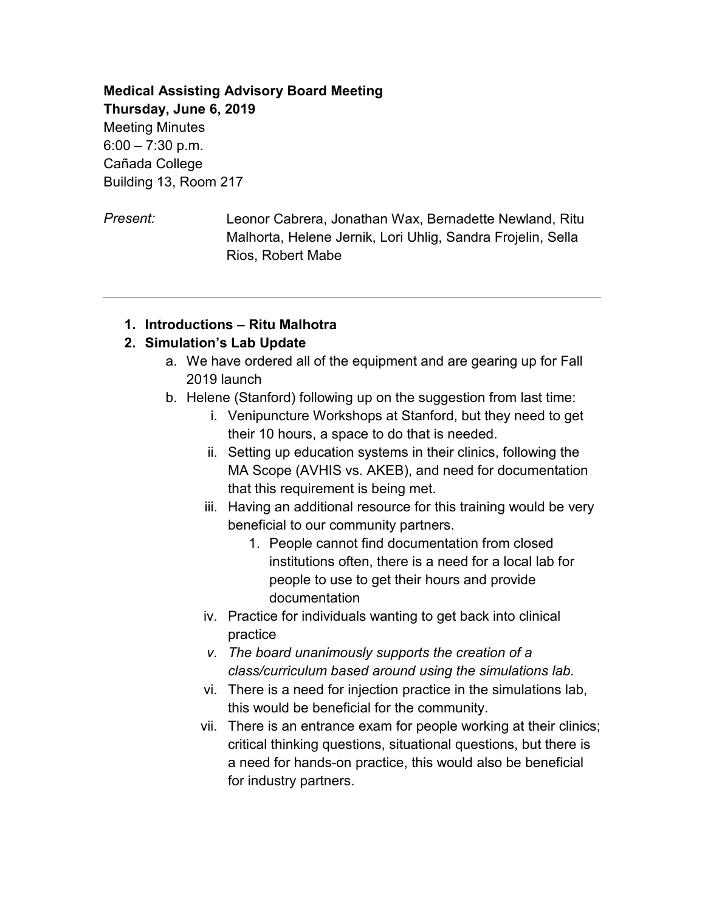**Medical Assisting Advisory Board Meeting Thursday, June 6, 2019** Meeting Minutes  $6:00 - 7:30$  p.m. Cañada College Building 13, Room 217

*Present:* Leonor Cabrera, Jonathan Wax, Bernadette Newland, Ritu Malhorta, Helene Jernik, Lori Uhlig, Sandra Frojelin, Sella Rios, Robert Mabe

#### **1. Introductions – Ritu Malhotra**

#### **2. Simulation's Lab Update**

- a. We have ordered all of the equipment and are gearing up for Fall 2019 launch
- b. Helene (Stanford) following up on the suggestion from last time:
	- i. Venipuncture Workshops at Stanford, but they need to get their 10 hours, a space to do that is needed.
	- ii. Setting up education systems in their clinics, following the MA Scope (AVHIS vs. AKEB), and need for documentation that this requirement is being met.
	- iii. Having an additional resource for this training would be very beneficial to our community partners.
		- 1. People cannot find documentation from closed institutions often, there is a need for a local lab for people to use to get their hours and provide documentation
	- iv. Practice for individuals wanting to get back into clinical practice
	- *v. The board unanimously supports the creation of a class/curriculum based around using the simulations lab.*
	- vi. There is a need for injection practice in the simulations lab, this would be beneficial for the community.
	- vii. There is an entrance exam for people working at their clinics; critical thinking questions, situational questions, but there is a need for hands-on practice, this would also be beneficial for industry partners.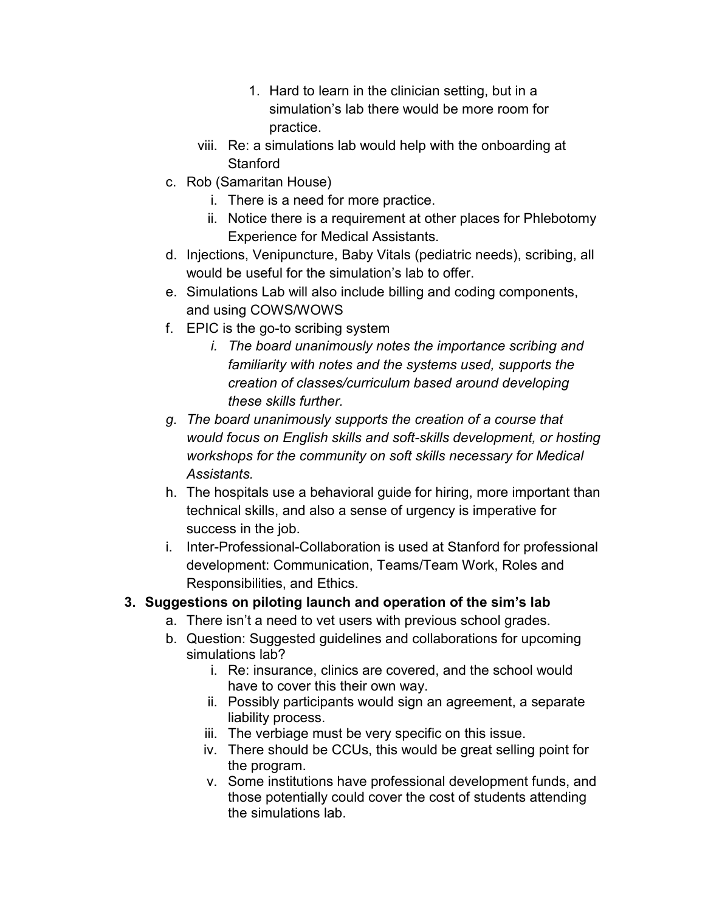- 1. Hard to learn in the clinician setting, but in a simulation's lab there would be more room for practice.
- viii. Re: a simulations lab would help with the onboarding at **Stanford**
- c. Rob (Samaritan House)
	- i. There is a need for more practice.
	- ii. Notice there is a requirement at other places for Phlebotomy Experience for Medical Assistants.
- d. Injections, Venipuncture, Baby Vitals (pediatric needs), scribing, all would be useful for the simulation's lab to offer.
- e. Simulations Lab will also include billing and coding components, and using COWS/WOWS
- f. EPIC is the go-to scribing system
	- *i. The board unanimously notes the importance scribing and familiarity with notes and the systems used, supports the creation of classes/curriculum based around developing these skills further.*
- *g. The board unanimously supports the creation of a course that would focus on English skills and soft-skills development, or hosting workshops for the community on soft skills necessary for Medical Assistants.*
- h. The hospitals use a behavioral guide for hiring, more important than technical skills, and also a sense of urgency is imperative for success in the job.
- i. Inter-Professional-Collaboration is used at Stanford for professional development: Communication, Teams/Team Work, Roles and Responsibilities, and Ethics.

### **3. Suggestions on piloting launch and operation of the sim's lab**

- a. There isn't a need to vet users with previous school grades.
- b. Question: Suggested guidelines and collaborations for upcoming simulations lab?
	- i. Re: insurance, clinics are covered, and the school would have to cover this their own way.
	- ii. Possibly participants would sign an agreement, a separate liability process.
	- iii. The verbiage must be very specific on this issue.
	- iv. There should be CCUs, this would be great selling point for the program.
	- v. Some institutions have professional development funds, and those potentially could cover the cost of students attending the simulations lab.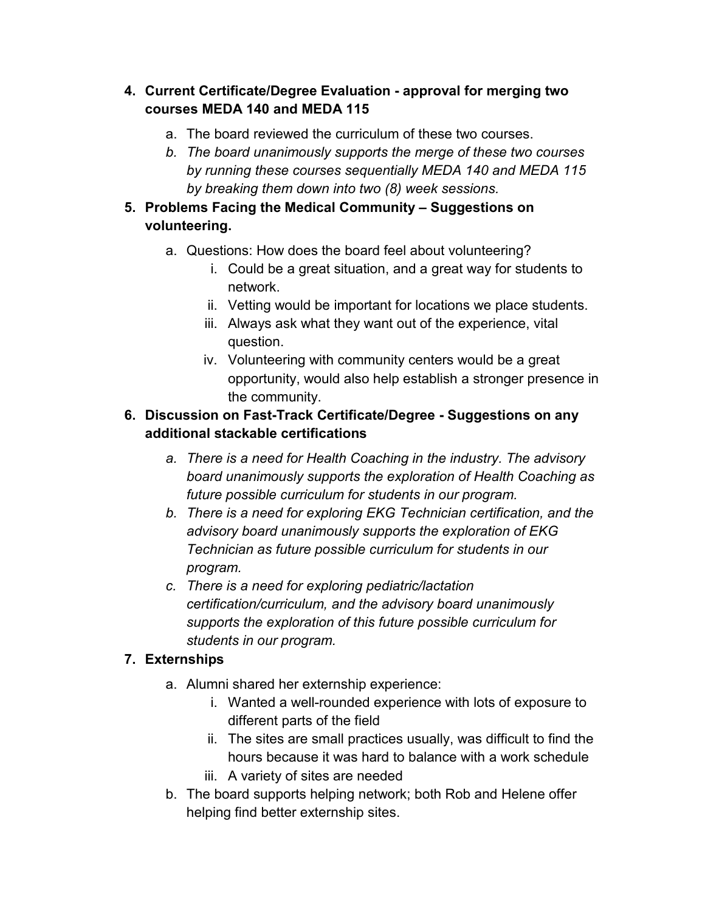#### **4. Current Certificate/Degree Evaluation - approval for merging two courses MEDA 140 and MEDA 115**

- a. The board reviewed the curriculum of these two courses.
- *b. The board unanimously supports the merge of these two courses by running these courses sequentially MEDA 140 and MEDA 115 by breaking them down into two (8) week sessions.*
- **5. Problems Facing the Medical Community – Suggestions on volunteering.**
	- a. Questions: How does the board feel about volunteering?
		- i. Could be a great situation, and a great way for students to network.
		- ii. Vetting would be important for locations we place students.
		- iii. Always ask what they want out of the experience, vital question.
		- iv. Volunteering with community centers would be a great opportunity, would also help establish a stronger presence in the community.

### **6. Discussion on Fast-Track Certificate/Degree - Suggestions on any additional stackable certifications**

- *a. There is a need for Health Coaching in the industry. The advisory board unanimously supports the exploration of Health Coaching as future possible curriculum for students in our program.*
- *b. There is a need for exploring EKG Technician certification, and the advisory board unanimously supports the exploration of EKG Technician as future possible curriculum for students in our program.*
- *c. There is a need for exploring pediatric/lactation certification/curriculum, and the advisory board unanimously supports the exploration of this future possible curriculum for students in our program.*

# **7. Externships**

- a. Alumni shared her externship experience:
	- i. Wanted a well-rounded experience with lots of exposure to different parts of the field
	- ii. The sites are small practices usually, was difficult to find the hours because it was hard to balance with a work schedule
	- iii. A variety of sites are needed
- b. The board supports helping network; both Rob and Helene offer helping find better externship sites.